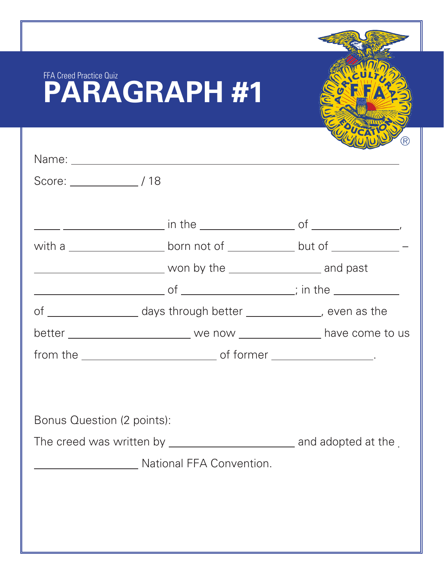| FFA Creed Practice Quiz    | <b>PARAGRAPH #1</b>                                                                                                                                              |  |
|----------------------------|------------------------------------------------------------------------------------------------------------------------------------------------------------------|--|
|                            |                                                                                                                                                                  |  |
| $Score:$ $/18$             | with a $\_\_\_\_\_\_\_\_\$ born not of $\_\_\_\_\_\_\$ but of $\_\_\_\_\_\_\_\_\_$<br>of _____________________ days through better ________________, even as the |  |
|                            |                                                                                                                                                                  |  |
| Bonus Question (2 points): |                                                                                                                                                                  |  |
|                            | <b>Example 2018</b> National FFA Convention.                                                                                                                     |  |
|                            |                                                                                                                                                                  |  |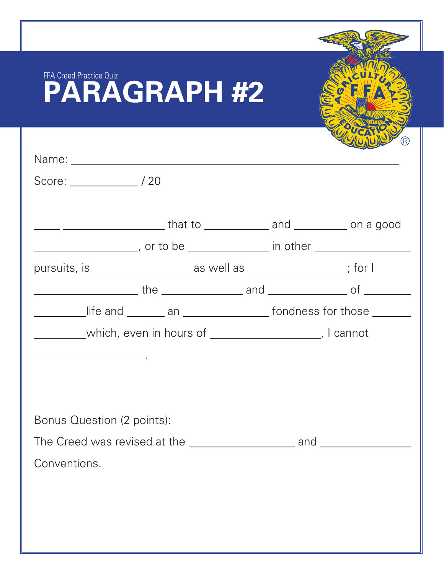| <b>FFA Creed Practice Quiz</b><br><b>PARAGRAPH #2</b>                            |    |
|----------------------------------------------------------------------------------|----|
|                                                                                  | R) |
|                                                                                  |    |
|                                                                                  |    |
| _____ ______________________that to _____________ and ___________ on a good      |    |
| ________________________, or to be _________________ in other __________________ |    |
| pursuits, is _______________________ as well as ___________________; for I       |    |
|                                                                                  |    |
| life and ________ an ____________________ fondness for those ________            |    |
| which, even in hours of __________________, I cannot                             |    |
|                                                                                  |    |
|                                                                                  |    |
|                                                                                  |    |
| Bonus Question (2 points):                                                       |    |
|                                                                                  |    |
| Conventions.                                                                     |    |
|                                                                                  |    |
|                                                                                  |    |
|                                                                                  |    |
|                                                                                  |    |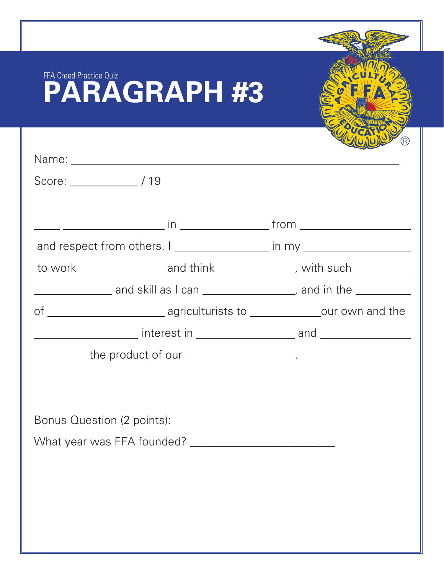| FFA Creed Practice Quiz<br><b>PARAGRAPH #3</b> |                                                                                   |
|------------------------------------------------|-----------------------------------------------------------------------------------|
|                                                | (R)                                                                               |
|                                                |                                                                                   |
|                                                |                                                                                   |
|                                                |                                                                                   |
|                                                | and respect from others. I __________________ in my ____________________________  |
|                                                | to work ______________________ and think _________________, with such __________  |
|                                                | ___________________ and skill as I can ____________________, and in the _________ |
|                                                | of __________________________ agriculturists to ________________our own and the   |
|                                                |                                                                                   |
| the product of our ___________________.        |                                                                                   |
|                                                |                                                                                   |
|                                                |                                                                                   |
| Bonus Question (2 points):                     |                                                                                   |
|                                                |                                                                                   |
|                                                |                                                                                   |
|                                                |                                                                                   |
|                                                |                                                                                   |
|                                                |                                                                                   |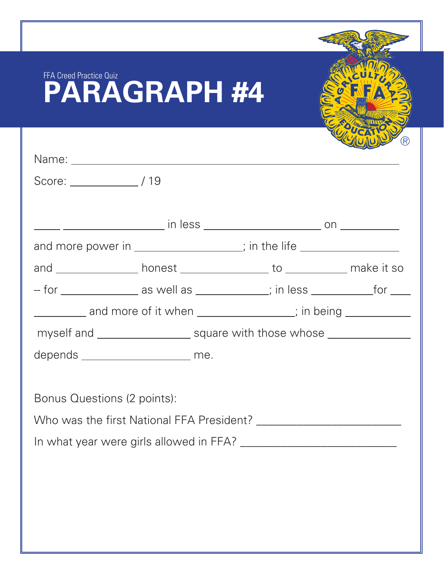| FFA Creed Practice Quiz             | <b>PARAGRAPH #4</b>                                                              |  |  |
|-------------------------------------|----------------------------------------------------------------------------------|--|--|
|                                     |                                                                                  |  |  |
|                                     |                                                                                  |  |  |
|                                     |                                                                                  |  |  |
|                                     |                                                                                  |  |  |
|                                     |                                                                                  |  |  |
|                                     | and more power in _______________; in the life _________________________________ |  |  |
|                                     |                                                                                  |  |  |
|                                     | - for _________________ as well as ____________; in less ______________for _____ |  |  |
|                                     | and more of it when _____________; in being ______________;                      |  |  |
|                                     | myself and ________________________ square with those whose ____________________ |  |  |
| depends _______________________ me. |                                                                                  |  |  |
|                                     |                                                                                  |  |  |
| Bonus Questions (2 points):         |                                                                                  |  |  |
|                                     |                                                                                  |  |  |
|                                     |                                                                                  |  |  |
|                                     |                                                                                  |  |  |
|                                     |                                                                                  |  |  |
|                                     |                                                                                  |  |  |
|                                     |                                                                                  |  |  |
|                                     |                                                                                  |  |  |